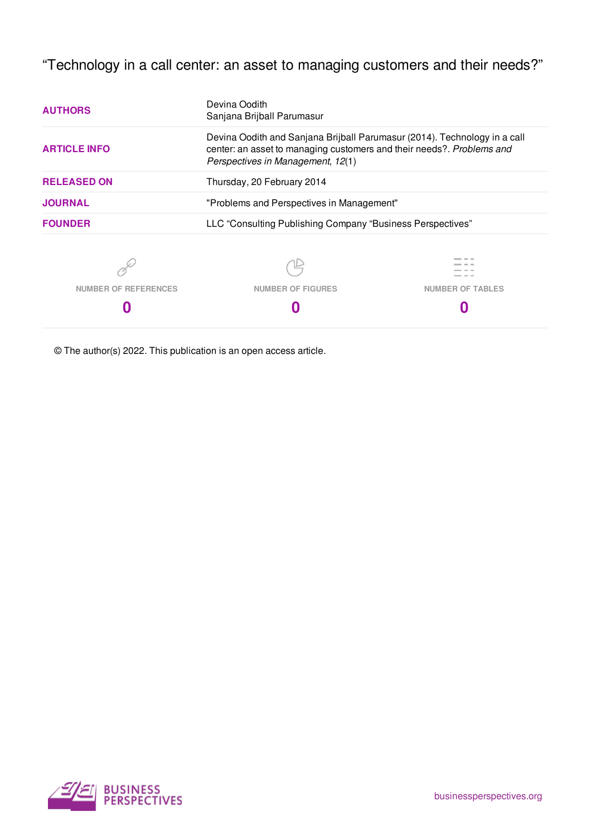"Technology in a call center: an asset to managing customers and their needs?"

| <b>AUTHORS</b>              | Devina Oodith<br>Sanjana Brijball Parumasur                                                                                                                                             |                         |  |  |  |
|-----------------------------|-----------------------------------------------------------------------------------------------------------------------------------------------------------------------------------------|-------------------------|--|--|--|
| <b>ARTICLE INFO</b>         | Devina Oodith and Sanjana Brijball Parumasur (2014). Technology in a call<br>center: an asset to managing customers and their needs?. Problems and<br>Perspectives in Management, 12(1) |                         |  |  |  |
| <b>RELEASED ON</b>          | Thursday, 20 February 2014                                                                                                                                                              |                         |  |  |  |
| <b>JOURNAL</b>              | "Problems and Perspectives in Management"                                                                                                                                               |                         |  |  |  |
| <b>FOUNDER</b>              | LLC "Consulting Publishing Company "Business Perspectives"                                                                                                                              |                         |  |  |  |
|                             |                                                                                                                                                                                         |                         |  |  |  |
| <b>NUMBER OF REFERENCES</b> | <b>NUMBER OF FIGURES</b>                                                                                                                                                                | <b>NUMBER OF TABLES</b> |  |  |  |
|                             |                                                                                                                                                                                         |                         |  |  |  |

© The author(s) 2022. This publication is an open access article.

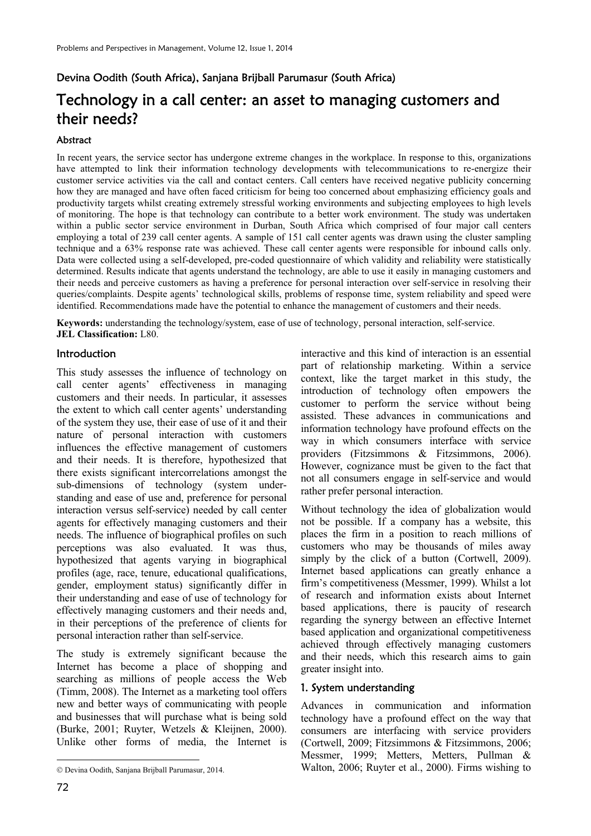# Devina Oodith (South Africa), Sanjana Brijball Parumasur (South Africa) Technology in a call center: an asset to managing customers and their needs?

### Abstract

In recent years, the service sector has undergone extreme changes in the workplace. In response to this, organizations have attempted to link their information technology developments with telecommunications to re-energize their customer service activities via the call and contact centers. Call centers have received negative publicity concerning how they are managed and have often faced criticism for being too concerned about emphasizing efficiency goals and productivity targets whilst creating extremely stressful working environments and subjecting employees to high levels of monitoring. The hope is that technology can contribute to a better work environment. The study was undertaken within a public sector service environment in Durban, South Africa which comprised of four major call centers employing a total of 239 call center agents. A sample of 151 call center agents was drawn using the cluster sampling technique and a 63% response rate was achieved. These call center agents were responsible for inbound calls only. Data were collected using a self-developed, pre-coded questionnaire of which validity and reliability were statistically determined. Results indicate that agents understand the technology, are able to use it easily in managing customers and their needs and perceive customers as having a preference for personal interaction over self-service in resolving their queries/complaints. Despite agents' technological skills, problems of response time, system reliability and speed were identified. Recommendations made have the potential to enhance the management of customers and their needs.

**Keywords:** understanding the technology/system, ease of use of technology, personal interaction, self-service. **JEL Classification:** L80.

#### Introduction

This study assesses the influence of technology on call center agents' effectiveness in managing customers and their needs. In particular, it assesses the extent to which call center agents' understanding of the system they use, their ease of use of it and their nature of personal interaction with customers influences the effective management of customers and their needs. It is therefore, hypothesized that there exists significant intercorrelations amongst the sub-dimensions of technology (system understanding and ease of use and, preference for personal interaction versus self-service) needed by call center agents for effectively managing customers and their needs. The influence of biographical profiles on such perceptions was also evaluated. It was thus, hypothesized that agents varying in biographical profiles (age, race, tenure, educational qualifications, gender, employment status) significantly differ in their understanding and ease of use of technology for effectively managing customers and their needs and, in their perceptions of the preference of clients for personal interaction rather than self-service.

The study is extremely significant because the Internet has become a place of shopping and searching as millions of people access the Web (Timm, 2008). The Internet as a marketing tool offers new and better ways of communicating with people and businesses that will purchase what is being sold (Burke, 2001; Ruyter, Wetzels & Kleijnen, 2000). Unlike other forms of media, the Internet is

interactive and this kind of interaction is an essential part of relationship marketing. Within a service context, like the target market in this study, the introduction of technology often empowers the customer to perform the service without being assisted. These advances in communications and information technology have profound effects on the way in which consumers interface with service providers (Fitzsimmons & Fitzsimmons, 2006). However, cognizance must be given to the fact that not all consumers engage in self-service and would rather prefer personal interaction.

Without technology the idea of globalization would not be possible. If a company has a website, this places the firm in a position to reach millions of customers who may be thousands of miles away simply by the click of a button (Cortwell, 2009). Internet based applications can greatly enhance a firm's competitiveness (Messmer, 1999). Whilst a lot of research and information exists about Internet based applications, there is paucity of research regarding the synergy between an effective Internet based application and organizational competitiveness achieved through effectively managing customers and their needs, which this research aims to gain greater insight into.

#### 1. System understanding

Advances in communication and information technology have a profound effect on the way that consumers are interfacing with service providers (Cortwell, 2009; Fitzsimmons & Fitzsimmons, 2006; Messmer, 1999; Metters, Metters, Pullman & Walton, 2006; Ruyter et al., 2000). Firms wishing to

 $\overline{a}$ 

Devina Oodith, Sanjana Brijball Parumasur, 2014.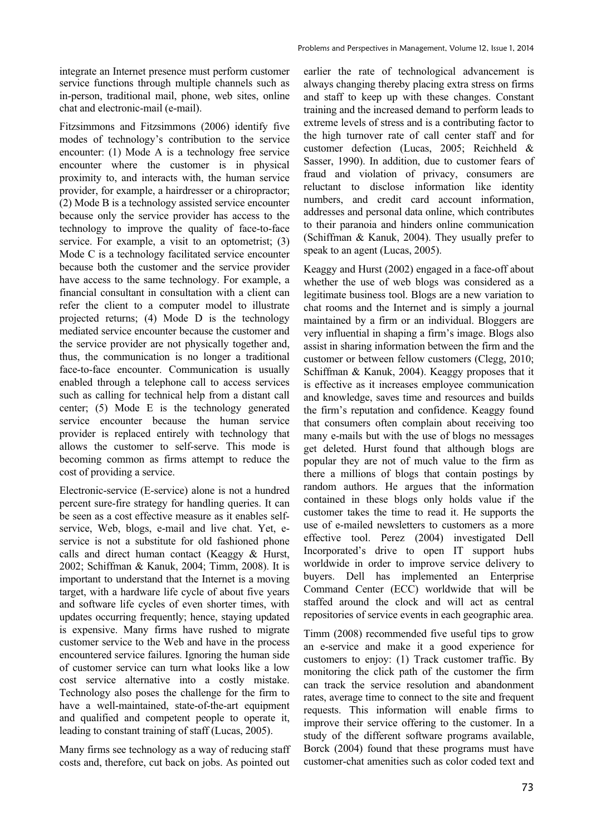integrate an Internet presence must perform customer service functions through multiple channels such as in-person, traditional mail, phone, web sites, online chat and electronic-mail (e-mail).

Fitzsimmons and Fitzsimmons (2006) identify five modes of technology's contribution to the service encounter: (1) Mode A is a technology free service encounter where the customer is in physical proximity to, and interacts with, the human service provider, for example, a hairdresser or a chiropractor; (2) Mode B is a technology assisted service encounter because only the service provider has access to the technology to improve the quality of face-to-face service. For example, a visit to an optometrist; (3) Mode C is a technology facilitated service encounter because both the customer and the service provider have access to the same technology. For example, a financial consultant in consultation with a client can refer the client to a computer model to illustrate projected returns; (4) Mode D is the technology mediated service encounter because the customer and the service provider are not physically together and, thus, the communication is no longer a traditional face-to-face encounter. Communication is usually enabled through a telephone call to access services such as calling for technical help from a distant call center; (5) Mode E is the technology generated service encounter because the human service provider is replaced entirely with technology that allows the customer to self-serve. This mode is becoming common as firms attempt to reduce the cost of providing a service.

Electronic-service (E-service) alone is not a hundred percent sure-fire strategy for handling queries. It can be seen as a cost effective measure as it enables selfservice, Web, blogs, e-mail and live chat. Yet, eservice is not a substitute for old fashioned phone calls and direct human contact (Keaggy & Hurst, 2002; Schiffman & Kanuk, 2004; Timm, 2008). It is important to understand that the Internet is a moving target, with a hardware life cycle of about five years and software life cycles of even shorter times, with updates occurring frequently; hence, staying updated is expensive. Many firms have rushed to migrate customer service to the Web and have in the process encountered service failures. Ignoring the human side of customer service can turn what looks like a low cost service alternative into a costly mistake. Technology also poses the challenge for the firm to have a well-maintained, state-of-the-art equipment and qualified and competent people to operate it, leading to constant training of staff (Lucas, 2005).

Many firms see technology as a way of reducing staff costs and, therefore, cut back on jobs. As pointed out earlier the rate of technological advancement is always changing thereby placing extra stress on firms and staff to keep up with these changes. Constant training and the increased demand to perform leads to extreme levels of stress and is a contributing factor to the high turnover rate of call center staff and for customer defection (Lucas, 2005; Reichheld & Sasser, 1990). In addition, due to customer fears of fraud and violation of privacy, consumers are reluctant to disclose information like identity numbers, and credit card account information, addresses and personal data online, which contributes to their paranoia and hinders online communication (Schiffman & Kanuk, 2004). They usually prefer to speak to an agent (Lucas, 2005).

Keaggy and Hurst (2002) engaged in a face-off about whether the use of web blogs was considered as a legitimate business tool. Blogs are a new variation to chat rooms and the Internet and is simply a journal maintained by a firm or an individual. Bloggers are very influential in shaping a firm's image. Blogs also assist in sharing information between the firm and the customer or between fellow customers (Clegg, 2010; Schiffman & Kanuk, 2004). Keaggy proposes that it is effective as it increases employee communication and knowledge, saves time and resources and builds the firm's reputation and confidence. Keaggy found that consumers often complain about receiving too many e-mails but with the use of blogs no messages get deleted. Hurst found that although blogs are popular they are not of much value to the firm as there a millions of blogs that contain postings by random authors. He argues that the information contained in these blogs only holds value if the customer takes the time to read it. He supports the use of e-mailed newsletters to customers as a more effective tool. Perez (2004) investigated Dell Incorporated's drive to open IT support hubs worldwide in order to improve service delivery to buyers. Dell has implemented an Enterprise Command Center (ECC) worldwide that will be staffed around the clock and will act as central repositories of service events in each geographic area.

Timm (2008) recommended five useful tips to grow an e-service and make it a good experience for customers to enjoy: (1) Track customer traffic. By monitoring the click path of the customer the firm can track the service resolution and abandonment rates, average time to connect to the site and frequent requests. This information will enable firms to improve their service offering to the customer. In a study of the different software programs available, Borck (2004) found that these programs must have customer-chat amenities such as color coded text and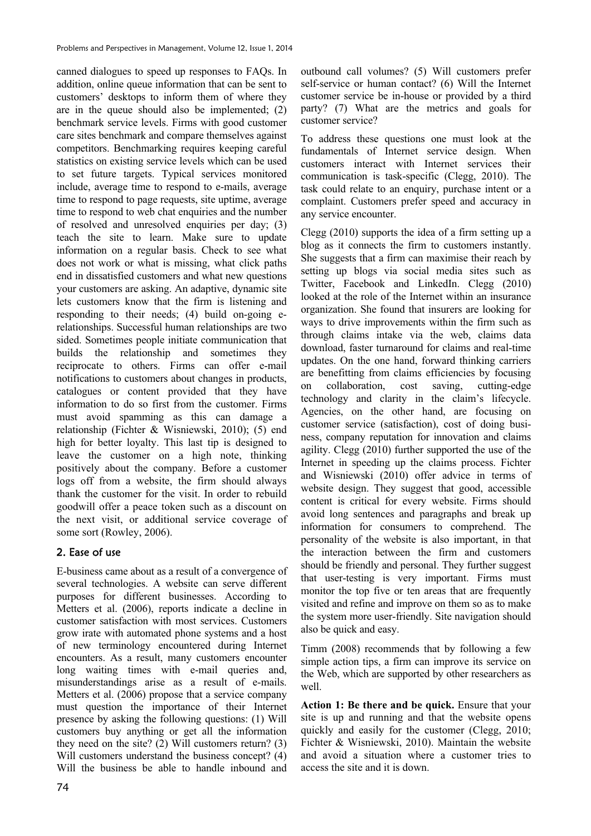canned dialogues to speed up responses to FAQs. In addition, online queue information that can be sent to customers' desktops to inform them of where they are in the queue should also be implemented; (2) benchmark service levels. Firms with good customer care sites benchmark and compare themselves against competitors. Benchmarking requires keeping careful statistics on existing service levels which can be used to set future targets. Typical services monitored include, average time to respond to e-mails, average time to respond to page requests, site uptime, average time to respond to web chat enquiries and the number of resolved and unresolved enquiries per day; (3) teach the site to learn. Make sure to update information on a regular basis. Check to see what does not work or what is missing, what click paths end in dissatisfied customers and what new questions your customers are asking. An adaptive, dynamic site lets customers know that the firm is listening and responding to their needs; (4) build on-going erelationships. Successful human relationships are two sided. Sometimes people initiate communication that builds the relationship and sometimes they reciprocate to others. Firms can offer e-mail notifications to customers about changes in products, catalogues or content provided that they have information to do so first from the customer. Firms must avoid spamming as this can damage a relationship (Fichter & Wisniewski, 2010); (5) end high for better loyalty. This last tip is designed to leave the customer on a high note, thinking positively about the company. Before a customer logs off from a website, the firm should always thank the customer for the visit. In order to rebuild goodwill offer a peace token such as a discount on the next visit, or additional service coverage of some sort (Rowley, 2006).

## 2. Ease of use

E-business came about as a result of a convergence of several technologies. A website can serve different purposes for different businesses. According to Metters et al. (2006), reports indicate a decline in customer satisfaction with most services. Customers grow irate with automated phone systems and a host of new terminology encountered during Internet encounters. As a result, many customers encounter long waiting times with e-mail queries and, misunderstandings arise as a result of e-mails. Metters et al. (2006) propose that a service company must question the importance of their Internet presence by asking the following questions: (1) Will customers buy anything or get all the information they need on the site? (2) Will customers return? (3) Will customers understand the business concept? (4) Will the business be able to handle inbound and

outbound call volumes? (5) Will customers prefer self-service or human contact? (6) Will the Internet customer service be in-house or provided by a third party? (7) What are the metrics and goals for customer service?

To address these questions one must look at the fundamentals of Internet service design. When customers interact with Internet services their communication is task-specific (Clegg, 2010). The task could relate to an enquiry, purchase intent or a complaint. Customers prefer speed and accuracy in any service encounter.

Clegg (2010) supports the idea of a firm setting up a blog as it connects the firm to customers instantly. She suggests that a firm can maximise their reach by setting up blogs via social media sites such as Twitter, Facebook and LinkedIn. Clegg (2010) looked at the role of the Internet within an insurance organization. She found that insurers are looking for ways to drive improvements within the firm such as through claims intake via the web, claims data download, faster turnaround for claims and real-time updates. On the one hand, forward thinking carriers are benefitting from claims efficiencies by focusing on collaboration, cost saving, cutting-edge technology and clarity in the claim's lifecycle. Agencies, on the other hand, are focusing on customer service (satisfaction), cost of doing business, company reputation for innovation and claims agility. Clegg (2010) further supported the use of the Internet in speeding up the claims process. Fichter and Wisniewski (2010) offer advice in terms of website design. They suggest that good, accessible content is critical for every website. Firms should avoid long sentences and paragraphs and break up information for consumers to comprehend. The personality of the website is also important, in that the interaction between the firm and customers should be friendly and personal. They further suggest that user-testing is very important. Firms must monitor the top five or ten areas that are frequently visited and refine and improve on them so as to make the system more user-friendly. Site navigation should also be quick and easy.

Timm (2008) recommends that by following a few simple action tips, a firm can improve its service on the Web, which are supported by other researchers as well.

**Action 1: Be there and be quick.** Ensure that your site is up and running and that the website opens quickly and easily for the customer (Clegg, 2010; Fichter & Wisniewski, 2010). Maintain the website and avoid a situation where a customer tries to access the site and it is down.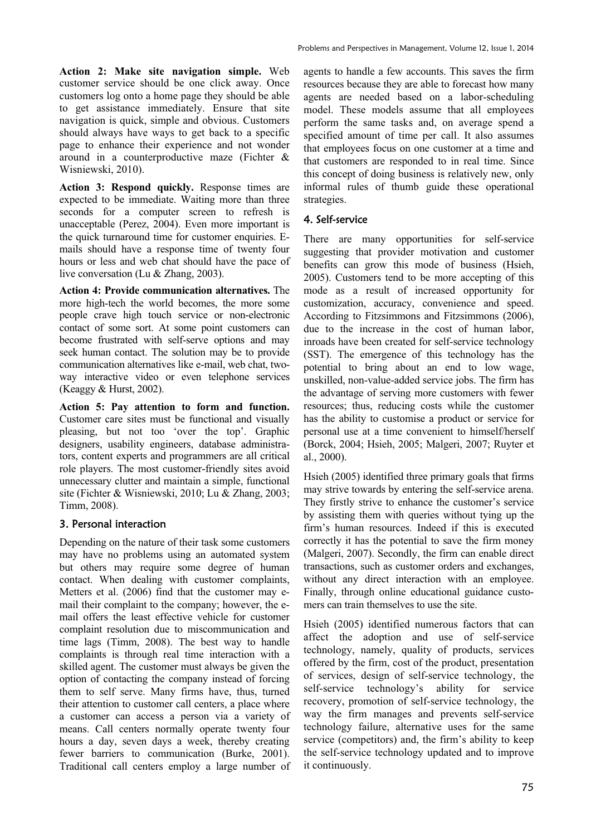**Action 2: Make site navigation simple.** Web customer service should be one click away. Once customers log onto a home page they should be able to get assistance immediately. Ensure that site navigation is quick, simple and obvious. Customers should always have ways to get back to a specific page to enhance their experience and not wonder around in a counterproductive maze (Fichter & Wisniewski, 2010).

**Action 3: Respond quickly.** Response times are expected to be immediate. Waiting more than three seconds for a computer screen to refresh is unacceptable (Perez, 2004). Even more important is the quick turnaround time for customer enquiries. Emails should have a response time of twenty four hours or less and web chat should have the pace of live conversation (Lu & Zhang, 2003).

**Action 4: Provide communication alternatives.** The more high-tech the world becomes, the more some people crave high touch service or non-electronic contact of some sort. At some point customers can become frustrated with self-serve options and may seek human contact. The solution may be to provide communication alternatives like e-mail, web chat, twoway interactive video or even telephone services (Keaggy & Hurst, 2002).

**Action 5: Pay attention to form and function.**  Customer care sites must be functional and visually pleasing, but not too 'over the top'. Graphic designers, usability engineers, database administrators, content experts and programmers are all critical role players. The most customer-friendly sites avoid unnecessary clutter and maintain a simple, functional site (Fichter & Wisniewski, 2010; Lu & Zhang, 2003; Timm, 2008).

## 3. Personal interaction

Depending on the nature of their task some customers may have no problems using an automated system but others may require some degree of human contact. When dealing with customer complaints, Metters et al. (2006) find that the customer may email their complaint to the company; however, the email offers the least effective vehicle for customer complaint resolution due to miscommunication and time lags (Timm, 2008). The best way to handle complaints is through real time interaction with a skilled agent. The customer must always be given the option of contacting the company instead of forcing them to self serve. Many firms have, thus, turned their attention to customer call centers, a place where a customer can access a person via a variety of means. Call centers normally operate twenty four hours a day, seven days a week, thereby creating fewer barriers to communication (Burke, 2001). Traditional call centers employ a large number of agents to handle a few accounts. This saves the firm resources because they are able to forecast how many agents are needed based on a labor-scheduling model. These models assume that all employees perform the same tasks and, on average spend a specified amount of time per call. It also assumes that employees focus on one customer at a time and that customers are responded to in real time. Since this concept of doing business is relatively new, only informal rules of thumb guide these operational strategies.

# 4. Self-service

There are many opportunities for self-service suggesting that provider motivation and customer benefits can grow this mode of business (Hsieh, 2005). Customers tend to be more accepting of this mode as a result of increased opportunity for customization, accuracy, convenience and speed. According to Fitzsimmons and Fitzsimmons (2006), due to the increase in the cost of human labor, inroads have been created for self-service technology (SST). The emergence of this technology has the potential to bring about an end to low wage, unskilled, non-value-added service jobs. The firm has the advantage of serving more customers with fewer resources; thus, reducing costs while the customer has the ability to customise a product or service for personal use at a time convenient to himself/herself (Borck, 2004; Hsieh, 2005; Malgeri, 2007; Ruyter et al., 2000).

Hsieh (2005) identified three primary goals that firms may strive towards by entering the self-service arena. They firstly strive to enhance the customer's service by assisting them with queries without tying up the firm's human resources. Indeed if this is executed correctly it has the potential to save the firm money (Malgeri, 2007). Secondly, the firm can enable direct transactions, such as customer orders and exchanges, without any direct interaction with an employee. Finally, through online educational guidance customers can train themselves to use the site.

Hsieh (2005) identified numerous factors that can affect the adoption and use of self-service technology, namely, quality of products, services offered by the firm, cost of the product, presentation of services, design of self-service technology, the self-service technology's ability for service recovery, promotion of self-service technology, the way the firm manages and prevents self-service technology failure, alternative uses for the same service (competitors) and, the firm's ability to keep the self-service technology updated and to improve it continuously.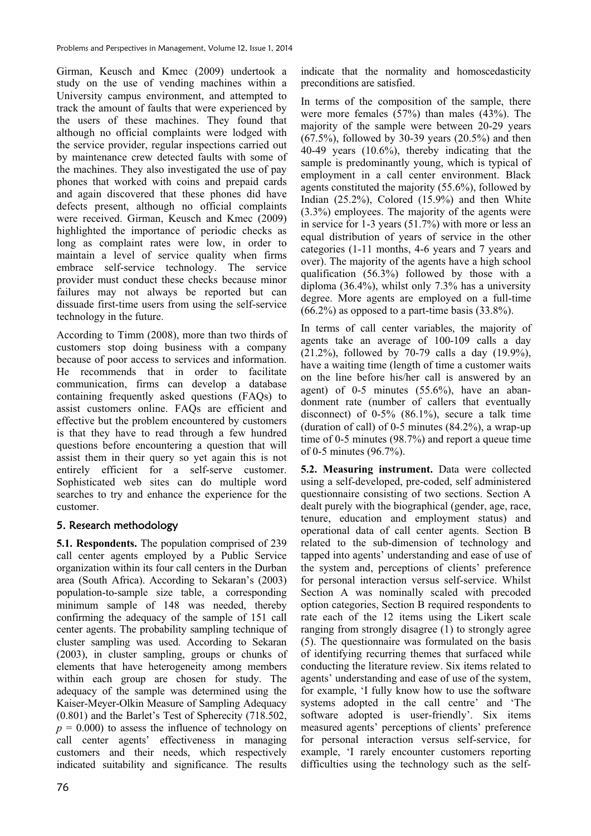Girman, Keusch and Kmec (2009) undertook a study on the use of vending machines within a University campus environment, and attempted to track the amount of faults that were experienced by the users of these machines. They found that although no official complaints were lodged with the service provider, regular inspections carried out by maintenance crew detected faults with some of the machines. They also investigated the use of pay phones that worked with coins and prepaid cards and again discovered that these phones did have defects present, although no official complaints were received. Girman, Keusch and Kmec (2009) highlighted the importance of periodic checks as long as complaint rates were low, in order to maintain a level of service quality when firms embrace self-service technology. The service provider must conduct these checks because minor failures may not always be reported but can dissuade first-time users from using the self-service technology in the future.

According to Timm (2008), more than two thirds of customers stop doing business with a company because of poor access to services and information. He recommends that in order to facilitate communication, firms can develop a database containing frequently asked questions (FAQs) to assist customers online. FAQs are efficient and effective but the problem encountered by customers is that they have to read through a few hundred questions before encountering a question that will assist them in their query so yet again this is not entirely efficient for a self-serve customer. Sophisticated web sites can do multiple word searches to try and enhance the experience for the customer.

# 5. Research methodology

**5.1. Respondents.** The population comprised of 239 call center agents employed by a Public Service organization within its four call centers in the Durban area (South Africa). According to Sekaran's (2003) population-to-sample size table, a corresponding minimum sample of 148 was needed, thereby confirming the adequacy of the sample of 151 call center agents. The probability sampling technique of cluster sampling was used. According to Sekaran (2003), in cluster sampling, groups or chunks of elements that have heterogeneity among members within each group are chosen for study. The adequacy of the sample was determined using the Kaiser-Meyer-Olkin Measure of Sampling Adequacy (0.801) and the Barlet's Test of Spherecity (718.502,  $p = 0.000$  to assess the influence of technology on call center agents' effectiveness in managing customers and their needs, which respectively indicated suitability and significance. The results

indicate that the normality and homoscedasticity preconditions are satisfied.

In terms of the composition of the sample, there were more females (57%) than males (43%). The majority of the sample were between 20-29 years  $(67.5\%)$ , followed by 30-39 years  $(20.5\%)$  and then 40-49 years (10.6%), thereby indicating that the sample is predominantly young, which is typical of employment in a call center environment. Black agents constituted the majority (55.6%), followed by Indian (25.2%), Colored (15.9%) and then White (3.3%) employees. The majority of the agents were in service for 1-3 years (51.7%) with more or less an equal distribution of years of service in the other categories (1-11 months, 4-6 years and 7 years and over). The majority of the agents have a high school qualification (56.3%) followed by those with a diploma (36.4%), whilst only 7.3% has a university degree. More agents are employed on a full-time  $(66.2\%)$  as opposed to a part-time basis  $(33.8\%).$ 

In terms of call center variables, the majority of agents take an average of 100-109 calls a day (21.2%), followed by 70-79 calls a day (19.9%), have a waiting time (length of time a customer waits on the line before his/her call is answered by an agent) of 0-5 minutes (55.6%), have an abandonment rate (number of callers that eventually disconnect) of  $0.5\%$  (86.1%), secure a talk time (duration of call) of 0-5 minutes (84.2%), a wrap-up time of 0-5 minutes (98.7%) and report a queue time of 0-5 minutes (96.7%).

**5.2. Measuring instrument.** Data were collected using a self-developed, pre-coded, self administered questionnaire consisting of two sections. Section A dealt purely with the biographical (gender, age, race, tenure, education and employment status) and operational data of call center agents. Section B related to the sub-dimension of technology and tapped into agents' understanding and ease of use of the system and, perceptions of clients' preference for personal interaction versus self-service. Whilst Section A was nominally scaled with precoded option categories, Section B required respondents to rate each of the 12 items using the Likert scale ranging from strongly disagree (1) to strongly agree (5). The questionnaire was formulated on the basis of identifying recurring themes that surfaced while conducting the literature review. Six items related to agents' understanding and ease of use of the system, for example, 'I fully know how to use the software systems adopted in the call centre' and 'The software adopted is user-friendly'. Six items measured agents' perceptions of clients' preference for personal interaction versus self-service, for example, 'I rarely encounter customers reporting difficulties using the technology such as the self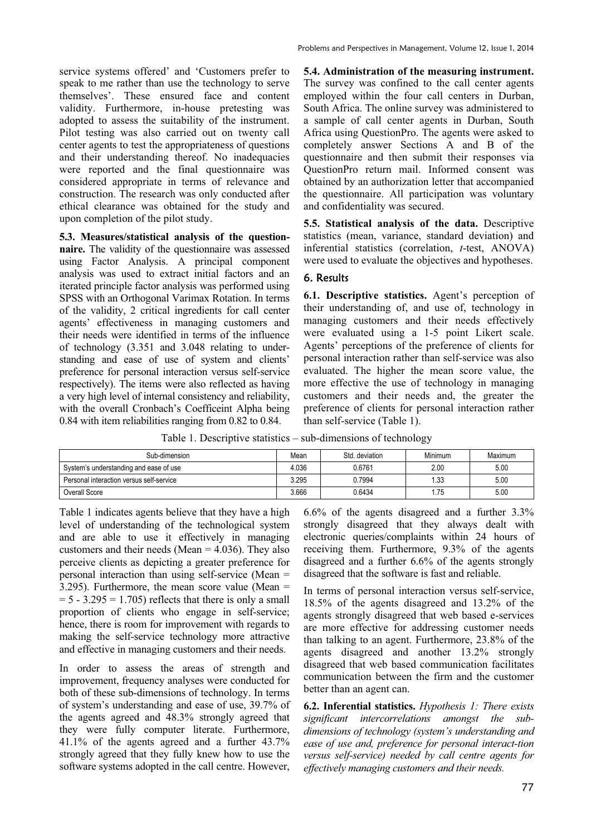service systems offered' and 'Customers prefer to speak to me rather than use the technology to serve themselves'. These ensured face and content validity. Furthermore, in-house pretesting was adopted to assess the suitability of the instrument. Pilot testing was also carried out on twenty call center agents to test the appropriateness of questions and their understanding thereof. No inadequacies were reported and the final questionnaire was considered appropriate in terms of relevance and construction. The research was only conducted after ethical clearance was obtained for the study and upon completion of the pilot study.

**5.3. Measures/statistical analysis of the questionnaire.** The validity of the questionnaire was assessed using Factor Analysis. A principal component analysis was used to extract initial factors and an iterated principle factor analysis was performed using SPSS with an Orthogonal Varimax Rotation. In terms of the validity, 2 critical ingredients for call center agents' effectiveness in managing customers and their needs were identified in terms of the influence of technology (3.351 and 3.048 relating to understanding and ease of use of system and clients' preference for personal interaction versus self-service respectively). The items were also reflected as having a very high level of internal consistency and reliability, with the overall Cronbach's Coefficeint Alpha being 0.84 with item reliabilities ranging from 0.82 to 0.84.

**5.4. Administration of the measuring instrument.**  The survey was confined to the call center agents employed within the four call centers in Durban, South Africa. The online survey was administered to a sample of call center agents in Durban, South Africa using QuestionPro. The agents were asked to completely answer Sections A and B of the questionnaire and then submit their responses via QuestionPro return mail. Informed consent was obtained by an authorization letter that accompanied the questionnaire. All participation was voluntary and confidentiality was secured.

**5.5. Statistical analysis of the data.** Descriptive statistics (mean, variance, standard deviation) and inferential statistics (correlation, *t*-test, ANOVA) were used to evaluate the objectives and hypotheses.

# 6. Results

**6.1. Descriptive statistics.** Agent's perception of their understanding of, and use of, technology in managing customers and their needs effectively were evaluated using a 1-5 point Likert scale. Agents' perceptions of the preference of clients for personal interaction rather than self-service was also evaluated. The higher the mean score value, the more effective the use of technology in managing customers and their needs and, the greater the preference of clients for personal interaction rather than self-service (Table 1).

Table 1. Descriptive statistics – sub-dimensions of technology

| Sub-dimension                            | Mean  | Std. deviation | Minimum | Maximum |
|------------------------------------------|-------|----------------|---------|---------|
| System's understanding and ease of use   | 4.036 | 0.6761         | 2.00    | 5.00    |
| Personal interaction versus self-service | 3.295 | 0.7994         | 1.33    | 5.00    |
| Overall Score                            | 3.666 | 0.6434         | .75     | 5.00    |

Table 1 indicates agents believe that they have a high level of understanding of the technological system and are able to use it effectively in managing customers and their needs (Mean  $=$  4.036). They also perceive clients as depicting a greater preference for personal interaction than using self-service (Mean = 3.295). Furthermore, the mean score value (Mean =  $= 5 - 3.295 = 1.705$  reflects that there is only a small proportion of clients who engage in self-service; hence, there is room for improvement with regards to making the self-service technology more attractive and effective in managing customers and their needs.

In order to assess the areas of strength and improvement, frequency analyses were conducted for both of these sub-dimensions of technology. In terms of system's understanding and ease of use, 39.7% of the agents agreed and 48.3% strongly agreed that they were fully computer literate. Furthermore, 41.1% of the agents agreed and a further 43.7% strongly agreed that they fully knew how to use the software systems adopted in the call centre. However,

6.6% of the agents disagreed and a further 3.3% strongly disagreed that they always dealt with electronic queries/complaints within 24 hours of receiving them. Furthermore, 9.3% of the agents disagreed and a further 6.6% of the agents strongly disagreed that the software is fast and reliable.

In terms of personal interaction versus self-service, 18.5% of the agents disagreed and 13.2% of the agents strongly disagreed that web based e-services are more effective for addressing customer needs than talking to an agent. Furthermore, 23.8% of the agents disagreed and another 13.2% strongly disagreed that web based communication facilitates communication between the firm and the customer better than an agent can.

**6.2. Inferential statistics.** *Hypothesis 1: There exists significant intercorrelations amongst the subdimensions of technology (system's understanding and ease of use and, preference for personal interact-tion versus self-service) needed by call centre agents for effectively managing customers and their needs.*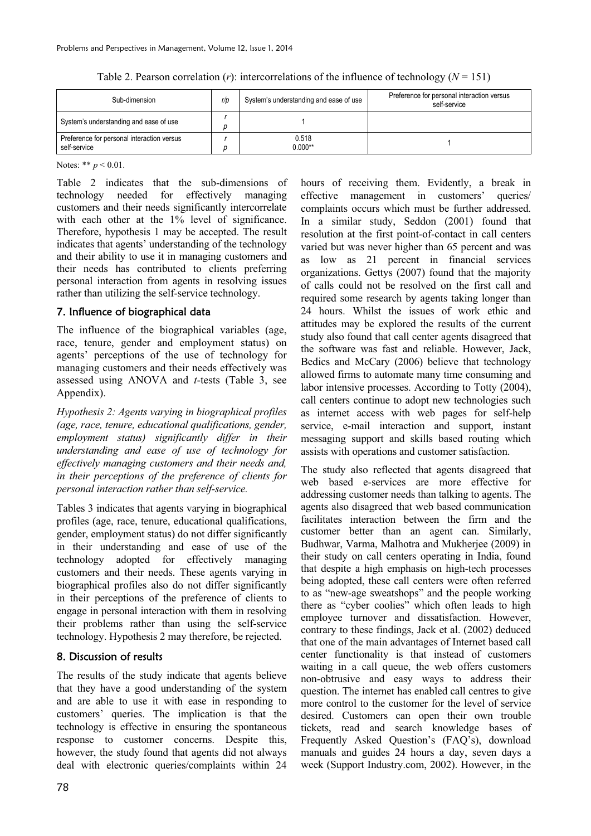Table 2. Pearson correlation  $(r)$ : intercorrelations of the influence of technology  $(N = 151)$ 

| Sub-dimension                                              | r/p | System's understanding and ease of use | Preference for personal interaction versus<br>self-service |
|------------------------------------------------------------|-----|----------------------------------------|------------------------------------------------------------|
| System's understanding and ease of use                     |     |                                        |                                                            |
| Preference for personal interaction versus<br>self-service |     | 0.518<br>$0.000**$                     |                                                            |

Notes: \*\* *p* < 0.01.

Table 2 indicates that the sub-dimensions of technology needed for effectively managing customers and their needs significantly intercorrelate with each other at the 1% level of significance. Therefore, hypothesis 1 may be accepted. The result indicates that agents' understanding of the technology and their ability to use it in managing customers and their needs has contributed to clients preferring personal interaction from agents in resolving issues rather than utilizing the self-service technology.

### 7. Influence of biographical data

The influence of the biographical variables (age, race, tenure, gender and employment status) on agents' perceptions of the use of technology for managing customers and their needs effectively was assessed using ANOVA and *t*-tests (Table 3, see Appendix).

*Hypothesis 2: Agents varying in biographical profiles (age, race, tenure, educational qualifications, gender, employment status) significantly differ in their understanding and ease of use of technology for effectively managing customers and their needs and, in their perceptions of the preference of clients for personal interaction rather than self-service.* 

Tables 3 indicates that agents varying in biographical profiles (age, race, tenure, educational qualifications, gender, employment status) do not differ significantly in their understanding and ease of use of the technology adopted for effectively managing customers and their needs. These agents varying in biographical profiles also do not differ significantly in their perceptions of the preference of clients to engage in personal interaction with them in resolving their problems rather than using the self-service technology. Hypothesis 2 may therefore, be rejected.

## 8. Discussion of results

The results of the study indicate that agents believe that they have a good understanding of the system and are able to use it with ease in responding to customers' queries. The implication is that the technology is effective in ensuring the spontaneous response to customer concerns. Despite this, however, the study found that agents did not always deal with electronic queries/complaints within 24

hours of receiving them. Evidently, a break in effective management in customers' queries/ complaints occurs which must be further addressed. In a similar study, Seddon (2001) found that resolution at the first point-of-contact in call centers varied but was never higher than 65 percent and was as low as 21 percent in financial services organizations. Gettys (2007) found that the majority of calls could not be resolved on the first call and required some research by agents taking longer than 24 hours. Whilst the issues of work ethic and attitudes may be explored the results of the current study also found that call center agents disagreed that the software was fast and reliable. However, Jack, Bedics and McCary (2006) believe that technology allowed firms to automate many time consuming and labor intensive processes. According to Totty (2004), call centers continue to adopt new technologies such as internet access with web pages for self-help service, e-mail interaction and support, instant messaging support and skills based routing which assists with operations and customer satisfaction.

The study also reflected that agents disagreed that web based e-services are more effective for addressing customer needs than talking to agents. The agents also disagreed that web based communication facilitates interaction between the firm and the customer better than an agent can. Similarly, Budhwar, Varma, Malhotra and Mukherjee (2009) in their study on call centers operating in India, found that despite a high emphasis on high-tech processes being adopted, these call centers were often referred to as "new-age sweatshops" and the people working there as "cyber coolies" which often leads to high employee turnover and dissatisfaction. However, contrary to these findings, Jack et al. (2002) deduced that one of the main advantages of Internet based call center functionality is that instead of customers waiting in a call queue, the web offers customers non-obtrusive and easy ways to address their question. The internet has enabled call centres to give more control to the customer for the level of service desired. Customers can open their own trouble tickets, read and search knowledge bases of Frequently Asked Question's (FAQ's), download manuals and guides 24 hours a day, seven days a week (Support Industry.com, 2002). However, in the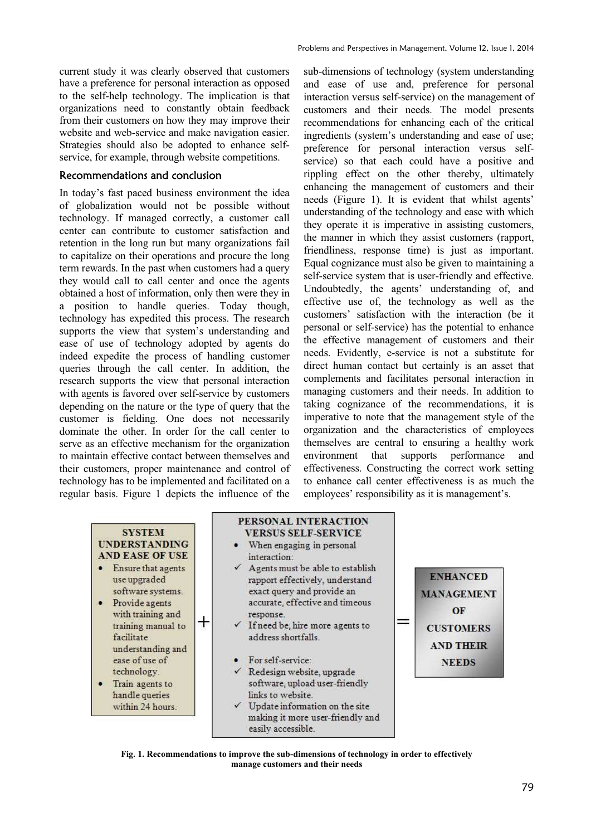current study it was clearly observed that customers have a preference for personal interaction as opposed to the self-help technology. The implication is that organizations need to constantly obtain feedback from their customers on how they may improve their website and web-service and make navigation easier. Strategies should also be adopted to enhance selfservice, for example, through website competitions.

### Recommendations and conclusion

In today's fast paced business environment the idea of globalization would not be possible without technology. If managed correctly, a customer call center can contribute to customer satisfaction and retention in the long run but many organizations fail to capitalize on their operations and procure the long term rewards. In the past when customers had a query they would call to call center and once the agents obtained a host of information, only then were they in a position to handle queries. Today though, technology has expedited this process. The research supports the view that system's understanding and ease of use of technology adopted by agents do indeed expedite the process of handling customer queries through the call center. In addition, the research supports the view that personal interaction with agents is favored over self-service by customers depending on the nature or the type of query that the customer is fielding. One does not necessarily dominate the other. In order for the call center to serve as an effective mechanism for the organization to maintain effective contact between themselves and their customers, proper maintenance and control of technology has to be implemented and facilitated on a regular basis. Figure 1 depicts the influence of the

sub-dimensions of technology (system understanding and ease of use and, preference for personal interaction versus self-service) on the management of customers and their needs. The model presents recommendations for enhancing each of the critical ingredients (system's understanding and ease of use; preference for personal interaction versus selfservice) so that each could have a positive and rippling effect on the other thereby, ultimately enhancing the management of customers and their needs (Figure 1). It is evident that whilst agents' understanding of the technology and ease with which they operate it is imperative in assisting customers, the manner in which they assist customers (rapport, friendliness, response time) is just as important. Equal cognizance must also be given to maintaining a self-service system that is user-friendly and effective. Undoubtedly, the agents' understanding of, and effective use of, the technology as well as the customers' satisfaction with the interaction (be it personal or self-service) has the potential to enhance the effective management of customers and their needs. Evidently, e-service is not a substitute for direct human contact but certainly is an asset that complements and facilitates personal interaction in managing customers and their needs. In addition to taking cognizance of the recommendations, it is imperative to note that the management style of the organization and the characteristics of employees themselves are central to ensuring a healthy work environment that supports performance and effectiveness. Constructing the correct work setting to enhance call center effectiveness is as much the employees' responsibility as it is management's.

#### **SYSTEM UNDERSTANDING AND EASE OF USE**

- Ensure that agents use upgraded software systems.
- · Provide agents with training and training manual to facilitate understanding and ease of use of technology.

 $^\mathrm{+}$ 

• Train agents to handle queries within 24 hours.

#### PERSONAL INTERACTION **VERSUS SELF-SERVICE**

- When engaging in personal interaction:
- $\checkmark$  Agents must be able to establish rapport effectively, understand exact query and provide an accurate, effective and timeous response.
- If need be, hire more agents to address shortfalls
- For self-service:
- Redesign website, upgrade software, upload user-friendly links to website.
- Update information on the site making it more user-friendly and easily accessible.



**Fig. 1. Recommendations to improve the sub-dimensions of technology in order to effectively manage customers and their needs**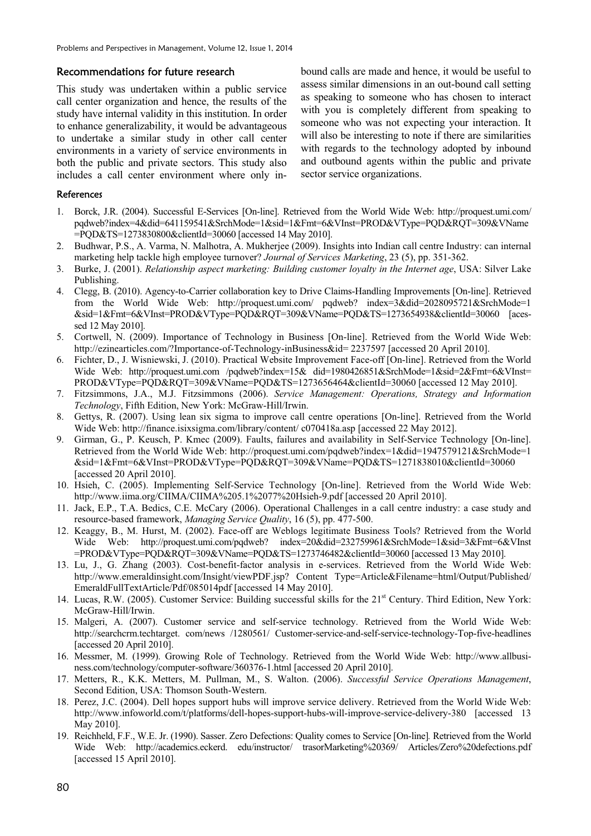#### Recommendations for future research

This study was undertaken within a public service call center organization and hence, the results of the study have internal validity in this institution. In order to enhance generalizability, it would be advantageous to undertake a similar study in other call center environments in a variety of service environments in both the public and private sectors. This study also includes a call center environment where only inbound calls are made and hence, it would be useful to assess similar dimensions in an out-bound call setting as speaking to someone who has chosen to interact with you is completely different from speaking to someone who was not expecting your interaction. It will also be interesting to note if there are similarities with regards to the technology adopted by inbound and outbound agents within the public and private sector service organizations.

#### **References**

- 1. Borck, J.R. (2004). Successful E-Services [On-line]. Retrieved from the World Wide Web: http://proquest.umi.com/ pqdweb?index=4&did=641159541&SrchMode=1&sid=1&Fmt=6&VInst=PROD&VType=PQD&RQT=309&VName =PQD&TS=1273830800&clientId=30060 [accessed 14 May 2010].
- 2. Budhwar, P.S., A. Varma, N. Malhotra, A. Mukherjee (2009). Insights into Indian call centre Industry: can internal marketing help tackle high employee turnover? *Journal of Services Marketing*, 23 (5), pp. 351-362.
- 3. Burke, J. (2001). *Relationship aspect marketing: Building customer loyalty in the Internet age*, USA: Silver Lake Publishing.
- 4. Clegg, B. (2010). Agency-to-Carrier collaboration key to Drive Claims-Handling Improvements [On-line]. Retrieved from the World Wide Web: http://proquest.umi.com/ pqdweb? index=3&did=2028095721&SrchMode=1 &sid=1&Fmt=6&VInst=PROD&VType=PQD&RQT=309&VName=PQD&TS=1273654938&clientId=30060 [acessed 12 May 2010].
- 5. Cortwell, N. (2009). Importance of Technology in Business [On-line]. Retrieved from the World Wide Web: http://ezinearticles.com/?Importance-of-Technology-inBusiness&id= 2237597 [accessed 20 April 2010].
- 6. Fichter, D., J. Wisniewski, J. (2010). Practical Website Improvement Face-off [On-line]. Retrieved from the World Wide Web: http://proquest.umi.com /pqdweb?index=15& did=1980426851&SrchMode=1&sid=2&Fmt=6&VInst= PROD&VType=PQD&RQT=309&VName=PQD&TS=1273656464&clientId=30060 [accessed 12 May 2010].
- 7. Fitzsimmons, J.A., M.J. Fitzsimmons (2006). *Service Management: Operations, Strategy and Information Technology*, Fifth Edition, New York: McGraw-Hill/Irwin.
- 8. Gettys, R. (2007). Using lean six sigma to improve call centre operations [On-line]. Retrieved from the World Wide Web: http://finance.isixsigma.com/library/content/ c070418a.asp [accessed 22 May 2012].
- 9. Girman, G., P. Keusch, P. Kmec (2009). Faults, failures and availability in Self-Service Technology [On-line]. Retrieved from the World Wide Web: http://proquest.umi.com/pqdweb?index=1&did=1947579121&SrchMode=1 &sid=1&Fmt=6&VInst=PROD&VType=PQD&RQT=309&VName=PQD&TS=1271838010&clientId=30060 [accessed 20 April 2010].
- 10. Hsieh, C. (2005). Implementing Self-Service Technology [On-line]. Retrieved from the World Wide Web: http://www.iima.org/CIIMA/CIIMA%205.1%2077%20Hsieh-9.pdf [accessed 20 April 2010].
- 11. Jack, E.P., T.A. Bedics, C.E. McCary (2006). Operational Challenges in a call centre industry: a case study and resource-based framework, *Managing Service Quality*, 16 (5), pp. 477-500.
- 12. Keaggy, B., M. Hurst, M. (2002). Face-off are Weblogs legitimate Business Tools? Retrieved from the World Wide Web: http://proquest.umi.com/pqdweb? index=20&did=232759961&SrchMode=1&sid=3&Fmt=6&VInst =PROD&VType=PQD&RQT=309&VName=PQD&TS=1273746482&clientId=30060 [accessed 13 May 2010].
- 13. Lu, J., G. Zhang (2003). Cost-benefit-factor analysis in e-services. Retrieved from the World Wide Web: http://www.emeraldinsight.com/Insight/viewPDF.jsp? Content Type=Article&Filename=html/Output/Published/ EmeraldFullTextArticle/Pdf/085014pdf [accessed 14 May 2010].
- 14. Lucas, R.W. (2005). Customer Service: Building successful skills for the 21<sup>st</sup> Century. Third Edition, New York: McGraw-Hill/Irwin.
- 15. Malgeri, A. (2007). Customer service and self-service technology. Retrieved from the World Wide Web: http://searchcrm.techtarget. com/news /1280561/ Customer-service-and-self-service-technology-Top-five-headlines [accessed 20 April 2010].
- 16. Messmer, M. (1999). Growing Role of Technology. Retrieved from the World Wide Web: http://www.allbusiness.com/technology/computer-software/360376-1.html [accessed 20 April 2010].
- 17. Metters, R., K.K. Metters, M. Pullman, M., S. Walton. (2006). *Successful Service Operations Management*, Second Edition, USA: Thomson South-Western.
- 18. Perez, J.C. (2004). Dell hopes support hubs will improve service delivery. Retrieved from the World Wide Web: http://www.infoworld.com/t/platforms/dell-hopes-support-hubs-will-improve-service-delivery-380 [accessed 13] May 2010].
- 19. Reichheld, F.F., W.E. Jr. (1990). Sasser. Zero Defections: Quality comes to Service [On-line]*.* Retrieved from the World Wide Web: http://academics.eckerd. edu/instructor/ trasorMarketing%20369/ Articles/Zero%20defections.pdf [accessed 15 April 2010].